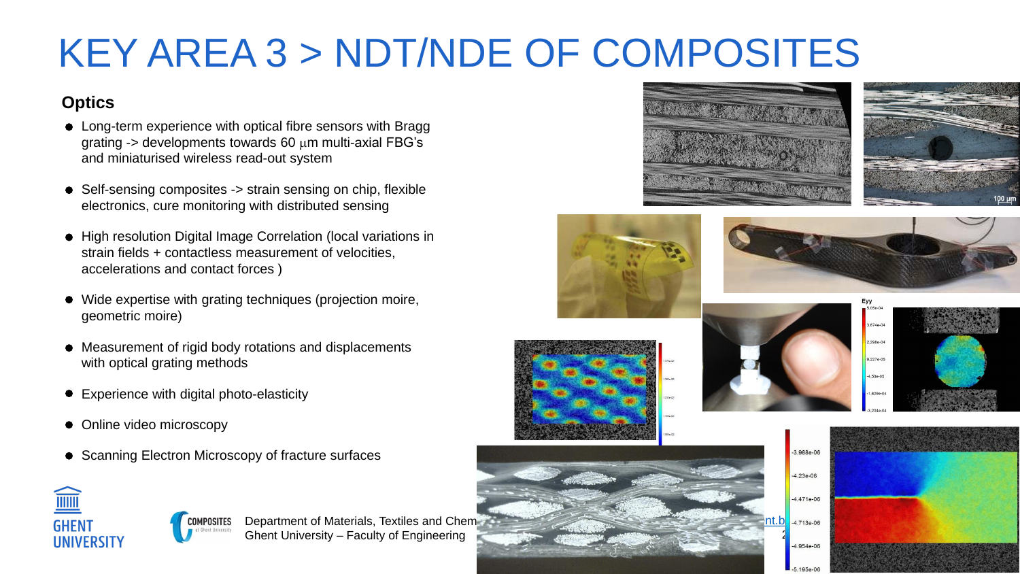Department of Materials, Textiles and Chement Ghent University – Faculty of Engineering







- Long-term experience with optical fibre sensors with Bragg grating  $\rightarrow$  developments towards 60  $\mu$ m multi-axial FBG's and miniaturised wireless read-out system
- Self-sensing composites -> strain sensing on chip, flexible electronics, cure monitoring with distributed sensing
- High resolution Digital Image Correlation (local variations in strain fields + contactless measurement of velocities, accelerations and contact forces )
- Wide expertise with grating techniques (projection moire, geometric moire)
- Measurement of rigid body rotations and displacements with optical grating methods
- Experience with digital photo-elasticity
- Online video microscopy
- Scanning Electron Microscopy of fracture surfaces

















### **Optics**

# KEY AREA 3 > NDT/NDE OF COMPOSITES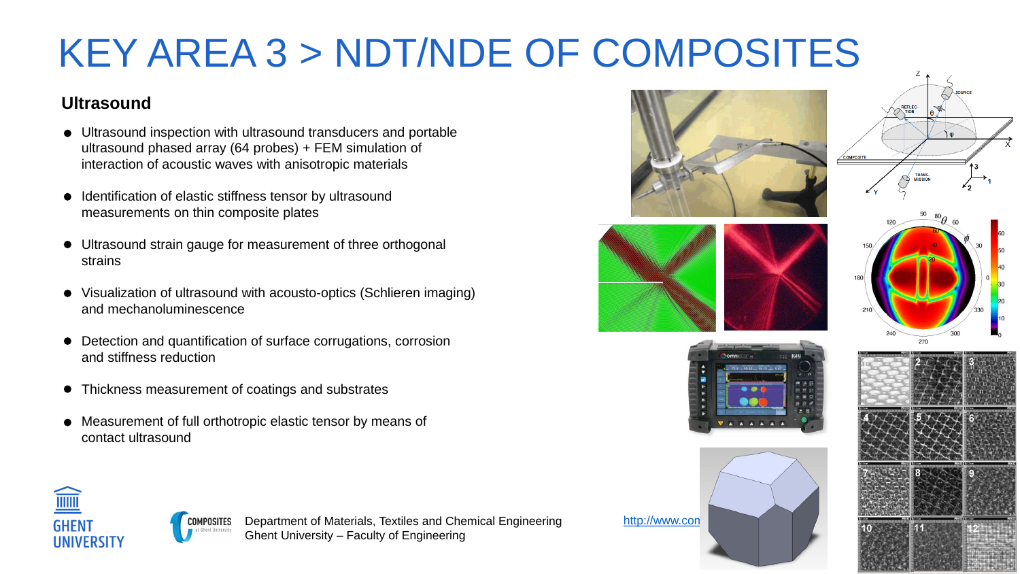















#### **Ultrasound**

- Ultrasound inspection with ultrasound transducers and portable ultrasound phased array (64 probes) + FEM simulation of interaction of acoustic waves with anisotropic materials
- Identification of elastic stiffness tensor by ultrasound measurements on thin composite plates
- Ultrasound strain gauge for measurement of three orthogonal strains
- Visualization of ultrasound with acousto-optics (Schlieren imaging) and mechanoluminescence
- Detection and quantification of surface corrugations, corrosion and stiffness reduction
- Thickness measurement of coatings and substrates
- Measurement of full orthotropic elastic tensor by means of contact ultrasound









# KEY AREA 3 > NDT/NDE OF COMPOSITES